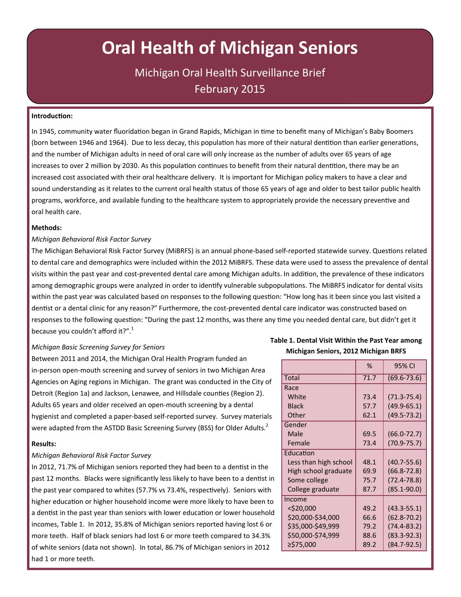# **Oral Health of Michigan Seniors**

## Michigan Oral Health Surveillance Brief February 2015

#### **IntroducƟon:**

In 1945, community water fluoridation began in Grand Rapids, Michigan in time to benefit many of Michigan's Baby Boomers (born between 1946 and 1964). Due to less decay, this population has more of their natural dentition than earlier generations, and the number of Michigan adults in need of oral care will only increase as the number of adults over 65 years of age increases to over 2 million by 2030. As this population continues to benefit from their natural dentition, there may be an increased cost associated with their oral healthcare delivery. It is important for Michigan policy makers to have a clear and sound understanding as it relates to the current oral health status of those 65 years of age and older to best tailor public health programs, workforce, and available funding to the healthcare system to appropriately provide the necessary preventive and oral health care.

#### **Methods:**

#### *Michigan Behavioral Risk Factor Survey*

The Michigan Behavioral Risk Factor Survey (MiBRFS) is an annual phone-based self-reported statewide survey. Questions related to dental care and demographics were included within the 2012 MiBRFS. These data were used to assess the prevalence of dental visits within the past year and cost-prevented dental care among Michigan adults. In addition, the prevalence of these indicators among demographic groups were analyzed in order to identify vulnerable subpopulations. The MiBRFS indicator for dental visits within the past year was calculated based on responses to the following question: "How long has it been since you last visited a dentist or a dental clinic for any reason?" Furthermore, the cost-prevented dental care indicator was constructed based on responses to the following question: "During the past 12 months, was there any time you needed dental care, but didn't get it because you couldn't afford it?".<sup>1</sup>

#### *Michigan Basic Screening Survey for Seniors*

Between 2011 and 2014, the Michigan Oral Health Program funded an in‐person open‐mouth screening and survey of seniors in two Michigan Area Agencies on Aging regions in Michigan. The grant was conducted in the City of Detroit (Region 1a) and Jackson, Lenawee, and Hillsdale counties (Region 2). Adults 65 years and older received an open‐mouth screening by a dental hygienist and completed a paper‐based self‐reported survey. Survey materials were adapted from the ASTDD Basic Screening Survey (BSS) for Older Adults.<sup>2</sup>

#### **Results:**

#### *Michigan Behavioral Risk Factor Survey*

In 2012, 71.7% of Michigan seniors reported they had been to a dentist in the past 12 months. Blacks were significantly less likely to have been to a dentist in the past year compared to whites (57.7% vs 73.4%, respectively). Seniors with higher education or higher household income were more likely to have been to a dentist in the past year than seniors with lower education or lower household incomes, Table 1. In 2012, 35.8% of Michigan seniors reported having lost 6 or more teeth. Half of black seniors had lost 6 or more teeth compared to 34.3% of white seniors (data not shown). In total, 86.7% of Michigan seniors in 2012 had 1 or more teeth.

### **Table 1. Dental Visit Within the Past Year among Michigan Seniors, 2012 Michigan BRFS**

|                       | %    | 95% CI          |
|-----------------------|------|-----------------|
| Total                 | 71.7 | $(69.6 - 73.6)$ |
| Race                  |      |                 |
| White                 | 73.4 | $(71.3 - 75.4)$ |
| <b>Black</b>          | 57.7 | $(49.9 - 65.1)$ |
| Other                 | 62.1 | $(49.5 - 73.2)$ |
| Gender                |      |                 |
| Male                  | 69.5 | $(66.0 - 72.7)$ |
| Female                | 73.4 | $(70.9 - 75.7)$ |
| Education             |      |                 |
| Less than high school | 48.1 | $(40.7 - 55.6)$ |
| High school graduate  | 69.9 | $(66.8 - 72.8)$ |
| Some college          | 75.7 | $(72.4 - 78.8)$ |
| College graduate      | 87.7 | $(85.1 - 90.0)$ |
| Income                |      |                 |
| $<$ \$20,000          | 49.2 | $(43.3 - 55.1)$ |
| \$20,000-\$34,000     | 66.6 | $(62.8 - 70.2)$ |
| \$35,000-\$49,999     | 79.2 | $(74.4 - 83.2)$ |
| \$50,000-\$74,999     | 88.6 | $(83.3 - 92.3)$ |
| ≥\$75,000             | 89.2 | $(84.7 - 92.5)$ |